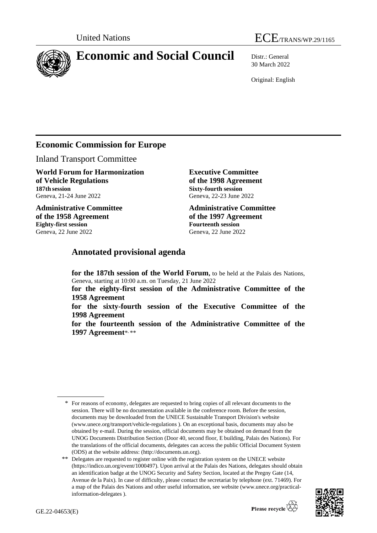

# **Economic and Social Council** Distr.: General

30 March 2022

Original: English

## **Economic Commission for Europe**

Inland Transport Committee

**World Forum for Harmonization of Vehicle Regulations 187th session** Geneva, 21-24 June 2022

**Administrative Committee of the 1958 Agreement Eighty-first session** Geneva, 22 June 2022

**Executive Committee of the 1998 Agreement Sixty-fourth session** Geneva, 22-23 June 2022

**Administrative Committee of the 1997 Agreement Fourteenth session** Geneva, 22 June 2022

## **Annotated provisional agenda**

**for the 187th session of the World Forum,** to be held at the Palais des Nations, Geneva, starting at 10:00 a.m. on Tuesday, 21 June 2022

**for the eighty-first session of the Administrative Committee of the 1958 Agreement**

**for the sixty-fourth session of the Executive Committee of the 1998 Agreement**

**for the fourteenth session of the Administrative Committee of the 1997 Agreement**\* , \*\*

<sup>\*\*</sup> Delegates are requested to register online with the registration system on the UNECE website [\(https://indico.un.org/event/1000497\)](https://indico.un.org/event/1000497). Upon arrival at the Palais des Nations, delegates should obtain an identification badge at the UNOG Security and Safety Section, located at the Pregny Gate (14, Avenue de la Paix). In case of difficulty, please contact the secretariat by telephone (ext. 71469). For a map of the Palais des Nations and other useful information, see website [\(www.unece.org/practical](http://www.unece.org/practical-information-delegates)[information-delegates](http://www.unece.org/practical-information-delegates) ).



<sup>\*</sup> For reasons of economy, delegates are requested to bring copies of all relevant documents to the session. There will be no documentation available in the conference room. Before the session, documents may be downloaded from the UNECE Sustainable Transport Division's website [\(www.unece.org/transport/vehicle-regulations](http://www.unece.org/transport/vehicle-regulations) ). On an exceptional basis, documents may also be obtained by e-mail. During the session, official documents may be obtained on demand from the UNOG Documents Distribution Section (Door 40, second floor, E building, Palais des Nations). For the translations of the official documents, delegates can access the public Official Document System (ODS) at the website address: (http://documents.un.org).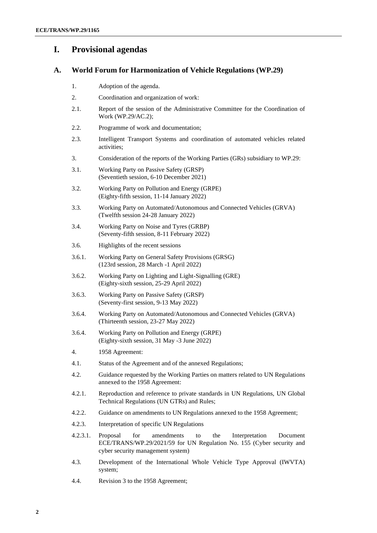## **I. Provisional agendas**

## **A. World Forum for Harmonization of Vehicle Regulations (WP.29)**

- 1. Adoption of the agenda.
- 2. Coordination and organization of work:
- 2.1. Report of the session of the Administrative Committee for the Coordination of Work (WP.29/AC.2);
- 2.2. Programme of work and documentation;
- 2.3. Intelligent Transport Systems and coordination of automated vehicles related activities;
- 3. Consideration of the reports of the Working Parties (GRs) subsidiary to WP.29:
- 3.1. Working Party on Passive Safety (GRSP) (Seventieth session, 6-10 December 2021)
- 3.2. Working Party on Pollution and Energy (GRPE) (Eighty-fifth session, 11-14 January 2022)
- 3.3. Working Party on Automated/Autonomous and Connected Vehicles (GRVA) (Twelfth session 24-28 January 2022)
- 3.4. Working Party on Noise and Tyres (GRBP) (Seventy-fifth session, 8-11 February 2022)
- 3.6. Highlights of the recent sessions
- 3.6.1. Working Party on General Safety Provisions (GRSG) (123rd session, 28 March -1 April 2022)
- 3.6.2. Working Party on Lighting and Light-Signalling (GRE) (Eighty-sixth session, 25-29 April 2022)
- 3.6.3. Working Party on Passive Safety (GRSP) (Seventy-first session, 9-13 May 2022)
- 3.6.4. Working Party on Automated/Autonomous and Connected Vehicles (GRVA) (Thirteenth session, 23-27 May 2022)
- 3.6.4. Working Party on Pollution and Energy (GRPE) (Eighty-sixth session, 31 May -3 June 2022)
- 4. 1958 Agreement:
- 4.1. Status of the Agreement and of the annexed Regulations;
- 4.2. Guidance requested by the Working Parties on matters related to UN Regulations annexed to the 1958 Agreement:
- 4.2.1. Reproduction and reference to private standards in UN Regulations, UN Global Technical Regulations (UN GTRs) and Rules;
- 4.2.2. Guidance on amendments to UN Regulations annexed to the 1958 Agreement;
- 4.2.3. Interpretation of specific UN Regulations
- 4.2.3.1. Proposal for amendments to the Interpretation Document ECE/TRANS/WP.29/2021/59 for UN Regulation No. 155 (Cyber security and cyber security management system)
- 4.3. Development of the International Whole Vehicle Type Approval (IWVTA) system;
- 4.4. Revision 3 to the 1958 Agreement;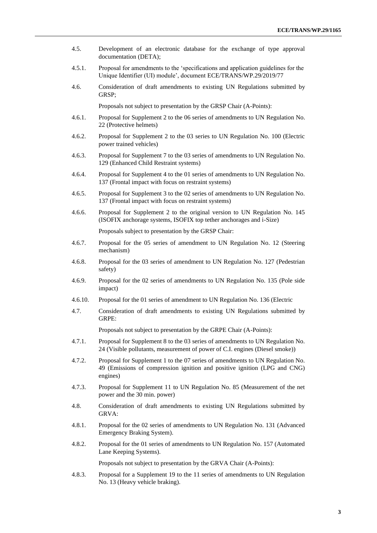4.5. Development of an electronic database for the exchange of type approval documentation (DETA); 4.5.1. Proposal for amendments to the 'specifications and application guidelines for the Unique Identifier (UI) module', document ECE/TRANS/WP.29/2019/77 4.6. Consideration of draft amendments to existing UN Regulations submitted by GRSP; Proposals not subject to presentation by the GRSP Chair (A-Points): 4.6.1. Proposal for Supplement 2 to the 06 series of amendments to UN Regulation No. 22 (Protective helmets) 4.6.2. Proposal for Supplement 2 to the 03 series to UN Regulation No. 100 (Electric power trained vehicles) 4.6.3. Proposal for Supplement 7 to the 03 series of amendments to UN Regulation No. 129 (Enhanced Child Restraint systems) 4.6.4. Proposal for Supplement 4 to the 01 series of amendments to UN Regulation No. 137 (Frontal impact with focus on restraint systems) 4.6.5. Proposal for Supplement 3 to the 02 series of amendments to UN Regulation No. 137 (Frontal impact with focus on restraint systems) 4.6.6. Proposal for Supplement 2 to the original version to UN Regulation No. 145 (ISOFIX anchorage systems, ISOFIX top tether anchorages and i-Size) Proposals subject to presentation by the GRSP Chair: 4.6.7. Proposal for the 05 series of amendment to UN Regulation No. 12 (Steering mechanism) 4.6.8. Proposal for the 03 series of amendment to UN Regulation No. 127 (Pedestrian safety) 4.6.9. Proposal for the 02 series of amendments to UN Regulation No. 135 (Pole side impact) 4.6.10. Proposal for the 01 series of amendment to UN Regulation No. 136 (Electric 4.7. Consideration of draft amendments to existing UN Regulations submitted by GRPE: Proposals not subject to presentation by the GRPE Chair (A-Points): 4.7.1. Proposal for Supplement 8 to the 03 series of amendments to UN Regulation No. 24 (Visible pollutants, measurement of power of C.I. engines (Diesel smoke)) 4.7.2. Proposal for Supplement 1 to the 07 series of amendments to UN Regulation No. 49 (Emissions of compression ignition and positive ignition (LPG and CNG) engines) 4.7.3. Proposal for Supplement 11 to UN Regulation No. 85 (Measurement of the net power and the 30 min. power) 4.8. Consideration of draft amendments to existing UN Regulations submitted by GRVA: 4.8.1. Proposal for the 02 series of amendments to UN Regulation No. 131 (Advanced Emergency Braking System). 4.8.2. Proposal for the 01 series of amendments to UN Regulation No. 157 (Automated Lane Keeping Systems). Proposals not subject to presentation by the GRVA Chair (A-Points): 4.8.3. Proposal for a Supplement 19 to the 11 series of amendments to UN Regulation

No. 13 (Heavy vehicle braking).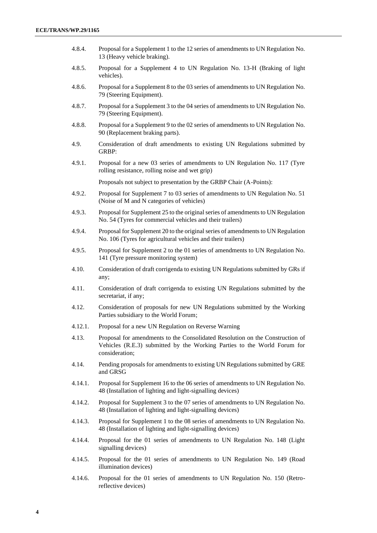- 4.8.4. Proposal for a Supplement 1 to the 12 series of amendments to UN Regulation No. 13 (Heavy vehicle braking).
- 4.8.5. Proposal for a Supplement 4 to UN Regulation No. 13-H (Braking of light vehicles).
- 4.8.6. Proposal for a Supplement 8 to the 03 series of amendments to UN Regulation No. 79 (Steering Equipment).
- 4.8.7. Proposal for a Supplement 3 to the 04 series of amendments to UN Regulation No. 79 (Steering Equipment).
- 4.8.8. Proposal for a Supplement 9 to the 02 series of amendments to UN Regulation No. 90 (Replacement braking parts).
- 4.9. Consideration of draft amendments to existing UN Regulations submitted by GRBP:
- 4.9.1. Proposal for a new 03 series of amendments to UN Regulation No. 117 (Tyre rolling resistance, rolling noise and wet grip)

Proposals not subject to presentation by the GRBP Chair (A-Points):

- 4.9.2. Proposal for Supplement 7 to 03 series of amendments to UN Regulation No. 51 (Noise of M and N categories of vehicles)
- 4.9.3. Proposal for Supplement 25 to the original series of amendments to UN Regulation No. 54 (Tyres for commercial vehicles and their trailers)
- 4.9.4. Proposal for Supplement 20 to the original series of amendments to UN Regulation No. 106 (Tyres for agricultural vehicles and their trailers)
- 4.9.5. Proposal for Supplement 2 to the 01 series of amendments to UN Regulation No. 141 (Tyre pressure monitoring system)
- 4.10. Consideration of draft corrigenda to existing UN Regulations submitted by GRs if any;
- 4.11. Consideration of draft corrigenda to existing UN Regulations submitted by the secretariat, if any;
- 4.12. Consideration of proposals for new UN Regulations submitted by the Working Parties subsidiary to the World Forum;
- 4.12.1. Proposal for a new UN Regulation on Reverse Warning
- 4.13. Proposal for amendments to the Consolidated Resolution on the Construction of Vehicles (R.E.3) submitted by the Working Parties to the World Forum for consideration;
- 4.14. Pending proposals for amendments to existing UN Regulations submitted by GRE and GRSG
- 4.14.1. Proposal for Supplement 16 to the 06 series of amendments to UN Regulation No. 48 (Installation of lighting and light-signalling devices)
- 4.14.2. Proposal for Supplement 3 to the 07 series of amendments to UN Regulation No. 48 (Installation of lighting and light-signalling devices)
- 4.14.3. Proposal for Supplement 1 to the 08 series of amendments to UN Regulation No. 48 (Installation of lighting and light-signalling devices)
- 4.14.4. Proposal for the 01 series of amendments to UN Regulation No. 148 (Light signalling devices)
- 4.14.5. Proposal for the 01 series of amendments to UN Regulation No. 149 (Road illumination devices)
- 4.14.6. Proposal for the 01 series of amendments to UN Regulation No. 150 (Retroreflective devices)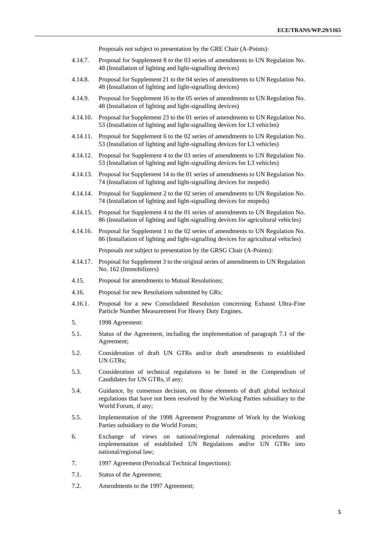Proposals not subject to presentation by the GRE Chair (A-Points):

- 4.14.7. Proposal for Supplement 8 to the 03 series of amendments to UN Regulation No. 48 (Installation of lighting and light-signalling devices)
- 4.14.8. Proposal for Supplement 21 to the 04 series of amendments to UN Regulation No. 48 (Installation of lighting and light-signalling devices)
- 4.14.9. Proposal for Supplement 16 to the 05 series of amendments to UN Regulation No. 48 (Installation of lighting and light-signalling devices)
- 4.14.10. Proposal for Supplement 23 to the 01 series of amendments to UN Regulation No. 53 (Installation of lighting and light-signalling devices for L3 vehicles)
- 4.14.11. Proposal for Supplement 6 to the 02 series of amendments to UN Regulation No. 53 (Installation of lighting and light-signalling devices for L3 vehicles)
- 4.14.12. Proposal for Supplement 4 to the 03 series of amendments to UN Regulation No. 53 (Installation of lighting and light-signalling devices for L3 vehicles)
- 4.14.13. Proposal for Supplement 14 to the 01 series of amendments to UN Regulation No. 74 (Installation of lighting and light-signalling devices for mopeds)
- 4.14.14. Proposal for Supplement 2 to the 02 series of amendments to UN Regulation No. 74 (Installation of lighting and light-signalling devices for mopeds)
- 4.14.15. Proposal for Supplement 4 to the 01 series of amendments to UN Regulation No. 86 (Installation of lighting and light-signalling devices for agricultural vehicles)
- 4.14.16. Proposal for Supplement 1 to the 02 series of amendments to UN Regulation No. 86 (Installation of lighting and light-signalling devices for agricultural vehicles)

Proposals not subject to presentation by the GRSG Chair (A-Points):

- 4.14.17. Proposal for Supplement 3 to the original series of amendments to UN Regulation No. 162 (Immobilizers)
- 4.15. Proposal for amendments to Mutual Resolutions;
- 4.16. Proposal for new Resolutions submitted by GRs:
- 4.16.1. Proposal for a new Consolidated Resolution concerning Exhaust Ultra-Fine Particle Number Measurement For Heavy Duty Engines.
- 5. 1998 Agreement:
- 5.1. Status of the Agreement, including the implementation of paragraph 7.1 of the Agreement;
- 5.2. Consideration of draft UN GTRs and/or draft amendments to established UN GTRs;
- 5.3. Consideration of technical regulations to be listed in the Compendium of Candidates for UN GTRs, if any;
- 5.4. Guidance, by consensus decision, on those elements of draft global technical regulations that have not been resolved by the Working Parties subsidiary to the World Forum, if any;
- 5.5. Implementation of the 1998 Agreement Programme of Work by the Working Parties subsidiary to the World Forum;
- 6. Exchange of views on national/regional rulemaking procedures and implementation of established UN Regulations and/or UN GTRs into national/regional law;
- 7. 1997 Agreement (Periodical Technical Inspections):
- 7.1. Status of the Agreement;
- 7.2. Amendments to the 1997 Agreement;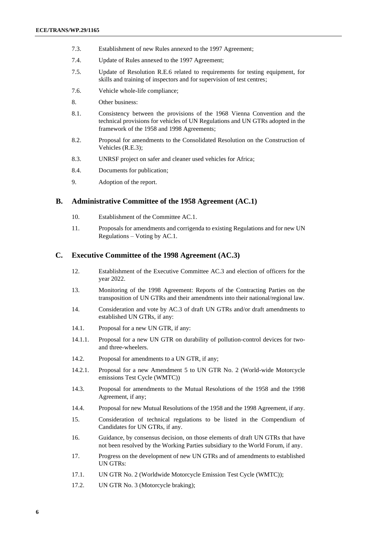- 7.3. Establishment of new Rules annexed to the 1997 Agreement;
- 7.4. Update of Rules annexed to the 1997 Agreement;
- 7.5. Update of Resolution R.E.6 related to requirements for testing equipment, for skills and training of inspectors and for supervision of test centres;
- 7.6. Vehicle whole-life compliance;
- 8. Other business:
- 8.1. Consistency between the provisions of the 1968 Vienna Convention and the technical provisions for vehicles of UN Regulations and UN GTRs adopted in the framework of the 1958 and 1998 Agreements;
- 8.2. Proposal for amendments to the Consolidated Resolution on the Construction of Vehicles (R.E.3);
- 8.3. UNRSF project on safer and cleaner used vehicles for Africa;
- 8.4. Documents for publication;
- 9. Adoption of the report.

## **B. Administrative Committee of the 1958 Agreement (AC.1)**

- 10. Establishment of the Committee AC.1.
- 11. Proposals for amendments and corrigenda to existing Regulations and for new UN Regulations – Voting by AC.1.

## **C. Executive Committee of the 1998 Agreement (AC.3)**

- 12. Establishment of the Executive Committee AC.3 and election of officers for the year 2022.
- 13. Monitoring of the 1998 Agreement: Reports of the Contracting Parties on the transposition of UN GTRs and their amendments into their national/regional law.
- 14. Consideration and vote by AC.3 of draft UN GTRs and/or draft amendments to established UN GTRs, if any:
- 14.1. Proposal for a new UN GTR, if any:
- 14.1.1. Proposal for a new UN GTR on durability of pollution-control devices for twoand three-wheelers.
- 14.2. Proposal for amendments to a UN GTR, if any;
- 14.2.1. Proposal for a new Amendment 5 to UN GTR No. 2 (World-wide Motorcycle emissions Test Cycle (WMTC))
- 14.3. Proposal for amendments to the Mutual Resolutions of the 1958 and the 1998 Agreement, if any;
- 14.4. Proposal for new Mutual Resolutions of the 1958 and the 1998 Agreement, if any.
- 15. Consideration of technical regulations to be listed in the Compendium of Candidates for UN GTRs, if any.
- 16. Guidance, by consensus decision, on those elements of draft UN GTRs that have not been resolved by the Working Parties subsidiary to the World Forum, if any.
- 17. Progress on the development of new UN GTRs and of amendments to established UN GTRs:
- 17.1. UN GTR No. 2 (Worldwide Motorcycle Emission Test Cycle (WMTC));
- 17.2. UN GTR No. 3 (Motorcycle braking);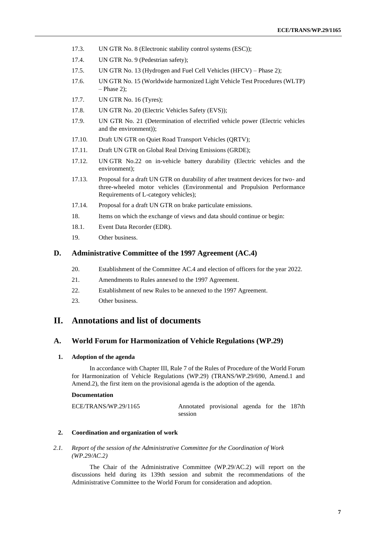- 17.3. UN GTR No. 8 (Electronic stability control systems (ESC));
- 17.4. UN GTR No. 9 (Pedestrian safety);
- 17.5. UN GTR No. 13 (Hydrogen and Fuel Cell Vehicles (HFCV) Phase 2);
- 17.6. UN GTR No. 15 (Worldwide harmonized Light Vehicle Test Procedures (WLTP) – Phase 2);
- 17.7. UN GTR No. 16 (Tyres);
- 17.8. UN GTR No. 20 (Electric Vehicles Safety (EVS));
- 17.9. UN GTR No. 21 (Determination of electrified vehicle power (Electric vehicles and the environment));
- 17.10. Draft UN GTR on Quiet Road Transport Vehicles (QRTV);
- 17.11. Draft UN GTR on Global Real Driving Emissions (GRDE);
- 17.12. UN GTR No.22 on in-vehicle battery durability (Electric vehicles and the environment);
- 17.13. Proposal for a draft UN GTR on durability of after treatment devices for two- and three-wheeled motor vehicles (Environmental and Propulsion Performance Requirements of L-category vehicles);
- 17.14. Proposal for a draft UN GTR on brake particulate emissions.
- 18. Items on which the exchange of views and data should continue or begin:
- 18.1. Event Data Recorder (EDR).
- 19. Other business.

## **D. Administrative Committee of the 1997 Agreement (AC.4)**

- 20. Establishment of the Committee AC.4 and election of officers for the year 2022.
- 21. Amendments to Rules annexed to the 1997 Agreement.
- 22. Establishment of new Rules to be annexed to the 1997 Agreement.
- 23. Other business.

## **II. Annotations and list of documents**

## **A. World Forum for Harmonization of Vehicle Regulations (WP.29)**

#### **1. Adoption of the agenda**

In accordance with Chapter III, Rule 7 of the Rules of Procedure of the World Forum for Harmonization of Vehicle Regulations (WP.29) (TRANS/WP.29/690, Amend.1 and Amend.2), the first item on the provisional agenda is the adoption of the agenda.

#### **Documentation**

| ECE/TRANS/WP.29/1165 |         | Annotated provisional agenda for the 187th |  |  |
|----------------------|---------|--------------------------------------------|--|--|
|                      | session |                                            |  |  |

### **2. Coordination and organization of work**

*2.1. Report of the session of the Administrative Committee for the Coordination of Work (WP.29/AC.2)*

The Chair of the Administrative Committee (WP.29/AC.2) will report on the discussions held during its 139th session and submit the recommendations of the Administrative Committee to the World Forum for consideration and adoption.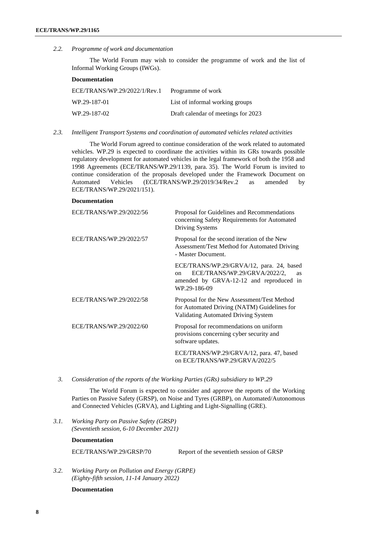*2.2. Programme of work and documentation*

The World Forum may wish to consider the programme of work and the list of Informal Working Groups (IWGs).

#### **Documentation**

| ECE/TRANS/WP.29/2022/1/Rev.1 | Programme of work                   |
|------------------------------|-------------------------------------|
| WP.29-187-01                 | List of informal working groups     |
| WP.29-187-02                 | Draft calendar of meetings for 2023 |

*2.3. Intelligent Transport Systems and coordination of automated vehicles related activities*

The World Forum agreed to continue consideration of the work related to automated vehicles. WP.29 is expected to coordinate the activities within its GRs towards possible regulatory development for automated vehicles in the legal framework of both the 1958 and 1998 Agreements (ECE/TRANS/WP.29/1139, para. 35). The World Forum is invited to continue consideration of the proposals developed under the Framework Document on Automated Vehicles (ECE/TRANS/WP.29/2019/34/Rev.2 as amended by ECE/TRANS/WP.29/2021/151).

### **Documentation**

| ECE/TRANS/WP.29/2022/56 | Proposal for Guidelines and Recommendations<br>concerning Safety Requirements for Automated<br>Driving Systems                                                    |
|-------------------------|-------------------------------------------------------------------------------------------------------------------------------------------------------------------|
| ECE/TRANS/WP.29/2022/57 | Proposal for the second iteration of the New<br>Assessment/Test Method for Automated Driving<br>- Master Document.                                                |
|                         | ECE/TRANS/WP.29/GRVA/12, para. 24, based<br>ECE/TRANS/WP.29/GRVA/2022/2,<br><b>as</b><br><sub>on</sub><br>amended by GRVA-12-12 and reproduced in<br>WP.29-186-09 |
| ECE/TRANS/WP.29/2022/58 | Proposal for the New Assessment/Test Method<br>for Automated Driving (NATM) Guidelines for<br>Validating Automated Driving System                                 |
| ECE/TRANS/WP.29/2022/60 | Proposal for recommendations on uniform<br>provisions concerning cyber security and<br>software updates.                                                          |
|                         | ECE/TRANS/WP.29/GRVA/12, para. 47, based<br>on ECE/TRANS/WP.29/GRVA/2022/5                                                                                        |

*3. Consideration of the reports of the Working Parties (GRs) subsidiary to WP.29*

The World Forum is expected to consider and approve the reports of the Working Parties on Passive Safety (GRSP), on Noise and Tyres (GRBP), on Automated/Autonomous and Connected Vehicles (GRVA), and Lighting and Light-Signalling (GRE).

*3.1. Working Party on Passive Safety (GRSP) (Seventieth session, 6-10 December 2021)*

#### **Documentation**

ECE/TRANS/WP.29/GRSP/70 Report of the seventieth session of GRSP

*3.2. Working Party on Pollution and Energy (GRPE) (Eighty-fifth session, 11-14 January 2022)*

## **Documentation**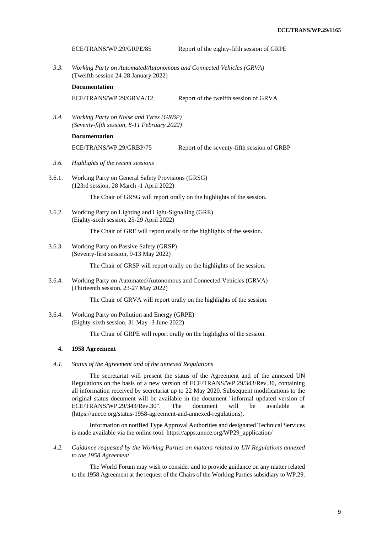|        | ECE/TRANS/WP.29/GRPE/85                                                                          | Report of the eighty-fifth session of GRPE                                                                                                                                                                                                                          |  |
|--------|--------------------------------------------------------------------------------------------------|---------------------------------------------------------------------------------------------------------------------------------------------------------------------------------------------------------------------------------------------------------------------|--|
| 3.3.   | (Twelfth session 24-28 January 2022)                                                             | Working Party on Automated/Autonomous and Connected Vehicles (GRVA)                                                                                                                                                                                                 |  |
|        | <b>Documentation</b>                                                                             |                                                                                                                                                                                                                                                                     |  |
|        | ECE/TRANS/WP.29/GRVA/12                                                                          | Report of the twelfth session of GRVA                                                                                                                                                                                                                               |  |
| 3.4.   | Working Party on Noise and Tyres (GRBP)<br>(Seventy-fifth session, 8-11 February 2022)           |                                                                                                                                                                                                                                                                     |  |
|        | <b>Documentation</b>                                                                             |                                                                                                                                                                                                                                                                     |  |
|        | ECE/TRANS/WP.29/GRBP/75                                                                          | Report of the seventy-fifth session of GRBP                                                                                                                                                                                                                         |  |
| 3.6.   | Highlights of the recent sessions                                                                |                                                                                                                                                                                                                                                                     |  |
| 3.6.1. | Working Party on General Safety Provisions (GRSG)<br>(123rd session, 28 March -1 April 2022)     |                                                                                                                                                                                                                                                                     |  |
|        |                                                                                                  | The Chair of GRSG will report orally on the highlights of the session.                                                                                                                                                                                              |  |
| 3.6.2. | Working Party on Lighting and Light-Signalling (GRE)<br>(Eighty-sixth session, 25-29 April 2022) |                                                                                                                                                                                                                                                                     |  |
|        |                                                                                                  | The Chair of GRE will report orally on the highlights of the session.                                                                                                                                                                                               |  |
| 3.6.3. | Working Party on Passive Safety (GRSP)<br>(Seventy-first session, 9-13 May 2022)                 |                                                                                                                                                                                                                                                                     |  |
|        |                                                                                                  | The Chair of GRSP will report orally on the highlights of the session.                                                                                                                                                                                              |  |
| 3.6.4. | (Thirteenth session, 23-27 May 2022)                                                             | Working Party on Automated/Autonomous and Connected Vehicles (GRVA)                                                                                                                                                                                                 |  |
|        |                                                                                                  | The Chair of GRVA will report orally on the highlights of the session.                                                                                                                                                                                              |  |
| 3.6.4. | Working Party on Pollution and Energy (GRPE)<br>(Eighty-sixth session, 31 May -3 June 2022)      |                                                                                                                                                                                                                                                                     |  |
|        |                                                                                                  | The Chair of GRPE will report orally on the highlights of the session.                                                                                                                                                                                              |  |
| 4.     | 1958 Agreement                                                                                   |                                                                                                                                                                                                                                                                     |  |
| 4.1.   | Status of the Agreement and of the annexed Regulations                                           |                                                                                                                                                                                                                                                                     |  |
|        |                                                                                                  | The secretariat will present the status of the Agreement and of the annexed UN<br>Regulations on the basis of a new version of ECE/TRANS/WP.29/343/Rev.30, containing<br>all information received by secretariat up to 22 May 2020. Subsequent modifications to the |  |

all information received by secretariat up to 22 May 2020. Subsequent modifications to the original status document will be available in the document "informal updated version of ECE/TRANS/WP.29/343/Rev.30". The document will be available at [\(https://unece.org/status-1958-agreement-and-annexed-regulations\)](https://unece.org/status-1958-agreement-and-annexed-regulations).

Information on notified Type Approval Authorities and designated Technical Services is made available via the online tool: [https://apps.unece.org/WP29\\_application/](https://apps.unece.org/WP29_application/)

*4.2. Guidance requested by the Working Parties on matters related to UN Regulations annexed to the 1958 Agreement*

The World Forum may wish to consider and to provide guidance on any matter related to the 1958 Agreement at the request of the Chairs of the Working Parties subsidiary to WP.29.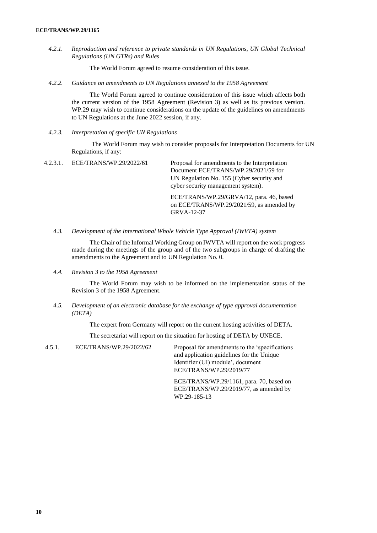*4.2.1. Reproduction and reference to private standards in UN Regulations, UN Global Technical Regulations (UN GTRs) and Rules*

The World Forum agreed to resume consideration of this issue.

*4.2.2. Guidance on amendments to UN Regulations annexed to the 1958 Agreement*

The World Forum agreed to continue consideration of this issue which affects both the current version of the 1958 Agreement (Revision 3) as well as its previous version. WP.29 may wish to continue considerations on the update of the guidelines on amendments to UN Regulations at the June 2022 session, if any.

*4.2.3. Interpretation of specific UN Regulations*

The World Forum may wish to consider proposals for Interpretation Documents for UN Regulations, if any:

4.2.3.1. ECE/TRANS/WP.29/2022/61 Proposal for amendments to the Interpretation Document ECE/TRANS/WP.29/2021/59 for UN Regulation No. 155 (Cyber security and cyber security management system).

> ECE/TRANS/WP.29/GRVA/12, para. 46, based on ECE/TRANS/WP.29/2021/59, as amended by GRVA-12-37

*4.3. Development of the International Whole Vehicle Type Approval (IWVTA) system*

The Chair of the Informal Working Group on IWVTA will report on the work progress made during the meetings of the group and of the two subgroups in charge of drafting the amendments to the Agreement and to UN Regulation No. 0.

*4.4. Revision 3 to the 1958 Agreement*

The World Forum may wish to be informed on the implementation status of the Revision 3 of the 1958 Agreement.

*4.5. Development of an electronic database for the exchange of type approval documentation (DETA)*

The expert from Germany will report on the current hosting activities of DETA.

The secretariat will report on the situation for hosting of DETA by UNECE.

4.5.1. ECE/TRANS/WP.29/2022/62 Proposal for amendments to the 'specifications and application guidelines for the Unique Identifier (UI) module', document ECE/TRANS/WP.29/2019/77

> ECE/TRANS/WP.29/1161, para. 70, based on ECE/TRANS/WP.29/2019/77, as amended by WP.29-185-13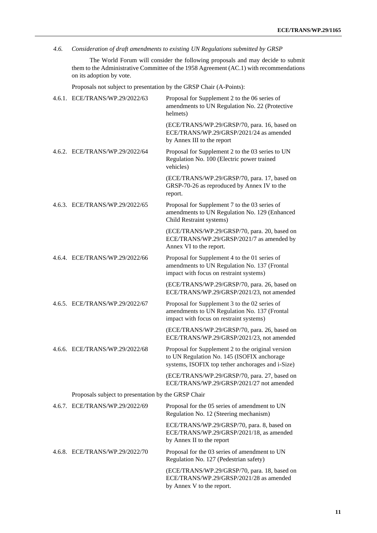## *4.6. Consideration of draft amendments to existing UN Regulations submitted by GRSP*

The World Forum will consider the following proposals and may decide to submit them to the Administrative Committee of the 1958 Agreement (AC.1) with recommendations on its adoption by vote.

Proposals not subject to presentation by the GRSP Chair (A-Points):

| 4.6.1. ECE/TRANS/WP.29/2022/63                      | Proposal for Supplement 2 to the 06 series of<br>amendments to UN Regulation No. 22 (Protective<br>helmets)                                          |
|-----------------------------------------------------|------------------------------------------------------------------------------------------------------------------------------------------------------|
|                                                     | (ECE/TRANS/WP.29/GRSP/70, para. 16, based on<br>ECE/TRANS/WP.29/GRSP/2021/24 as amended<br>by Annex III to the report                                |
| 4.6.2. ECE/TRANS/WP.29/2022/64                      | Proposal for Supplement 2 to the 03 series to UN<br>Regulation No. 100 (Electric power trained<br>vehicles)                                          |
|                                                     | (ECE/TRANS/WP.29/GRSP/70, para. 17, based on<br>GRSP-70-26 as reproduced by Annex IV to the<br>report.                                               |
| 4.6.3. ECE/TRANS/WP.29/2022/65                      | Proposal for Supplement 7 to the 03 series of<br>amendments to UN Regulation No. 129 (Enhanced<br>Child Restraint systems)                           |
|                                                     | (ECE/TRANS/WP.29/GRSP/70, para. 20, based on<br>ECE/TRANS/WP.29/GRSP/2021/7 as amended by<br>Annex VI to the report.                                 |
| 4.6.4. ECE/TRANS/WP.29/2022/66                      | Proposal for Supplement 4 to the 01 series of<br>amendments to UN Regulation No. 137 (Frontal<br>impact with focus on restraint systems)             |
|                                                     | (ECE/TRANS/WP.29/GRSP/70, para. 26, based on<br>ECE/TRANS/WP.29/GRSP/2021/23, not amended                                                            |
| 4.6.5. ECE/TRANS/WP.29/2022/67                      | Proposal for Supplement 3 to the 02 series of<br>amendments to UN Regulation No. 137 (Frontal<br>impact with focus on restraint systems)             |
|                                                     | (ECE/TRANS/WP.29/GRSP/70, para. 26, based on<br>ECE/TRANS/WP.29/GRSP/2021/23, not amended                                                            |
| 4.6.6. ECE/TRANS/WP.29/2022/68                      | Proposal for Supplement 2 to the original version<br>to UN Regulation No. 145 (ISOFIX anchorage<br>systems, ISOFIX top tether anchorages and i-Size) |
|                                                     | (ECE/TRANS/WP.29/GRSP/70, para. 27, based on<br>ECE/TRANS/WP.29/GRSP/2021/27 not amended                                                             |
| Proposals subject to presentation by the GRSP Chair |                                                                                                                                                      |
| 4.6.7. ECE/TRANS/WP.29/2022/69                      | Proposal for the 05 series of amendment to UN<br>Regulation No. 12 (Steering mechanism)                                                              |
|                                                     | ECE/TRANS/WP.29/GRSP/70, para. 8, based on<br>ECE/TRANS/WP.29/GRSP/2021/18, as amended<br>by Annex II to the report                                  |
| 4.6.8. ECE/TRANS/WP.29/2022/70                      | Proposal for the 03 series of amendment to UN<br>Regulation No. 127 (Pedestrian safety)                                                              |
|                                                     | (ECE/TRANS/WP.29/GRSP/70, para. 18, based on<br>ECE/TRANS/WP.29/GRSP/2021/28 as amended<br>by Annex V to the report.                                 |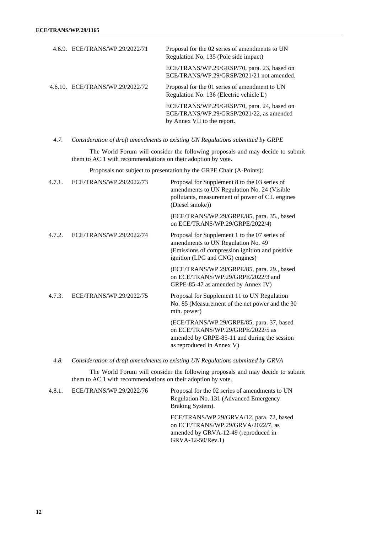| 4.6.9. ECE/TRANS/WP.29/2022/71  | Proposal for the 02 series of amendments to UN<br>Regulation No. 135 (Pole side impact)                                |
|---------------------------------|------------------------------------------------------------------------------------------------------------------------|
|                                 | ECE/TRANS/WP.29/GRSP/70, para. 23, based on<br>ECE/TRANS/WP.29/GRSP/2021/21 not amended.                               |
| 4.6.10. ECE/TRANS/WP.29/2022/72 | Proposal for the 01 series of amendment to UN<br>Regulation No. 136 (Electric vehicle L)                               |
|                                 | ECE/TRANS/WP.29/GRSP/70, para. 24, based on<br>ECE/TRANS/WP.29/GRSP/2021/22, as amended<br>by Annex VII to the report. |

*4.7. Consideration of draft amendments to existing UN Regulations submitted by GRPE*

The World Forum will consider the following proposals and may decide to submit them to AC.1 with recommendations on their adoption by vote.

Proposals not subject to presentation by the GRPE Chair (A-Points):

| 4.7.1. | ECE/TRANS/WP.29/2022/73 | Proposal for Supplement 8 to the 03 series of<br>amendments to UN Regulation No. 24 (Visible<br>pollutants, measurement of power of C.I. engines<br>(Diesel smoke))       |
|--------|-------------------------|---------------------------------------------------------------------------------------------------------------------------------------------------------------------------|
|        |                         | (ECE/TRANS/WP.29/GRPE/85, para. 35., based<br>on ECE/TRANS/WP.29/GRPE/2022/4)                                                                                             |
| 4.7.2. | ECE/TRANS/WP.29/2022/74 | Proposal for Supplement 1 to the 07 series of<br>amendments to UN Regulation No. 49<br>(Emissions of compression ignition and positive<br>ignition (LPG and CNG) engines) |
|        |                         | (ECE/TRANS/WP.29/GRPE/85, para. 29., based<br>on ECE/TRANS/WP.29/GRPE/2022/3 and<br>GRPE-85-47 as amended by Annex IV)                                                    |
| 4.7.3. | ECE/TRANS/WP.29/2022/75 | Proposal for Supplement 11 to UN Regulation<br>No. 85 (Measurement of the net power and the 30<br>min. power)                                                             |
|        |                         | (ECE/TRANS/WP.29/GRPE/85, para. 37, based<br>on ECE/TRANS/WP.29/GRPE/2022/5 as<br>amended by GRPE-85-11 and during the session<br>as reproduced in Annex V)               |

*4.8. Consideration of draft amendments to existing UN Regulations submitted by GRVA*

The World Forum will consider the following proposals and may decide to submit them to AC.1 with recommendations on their adoption by vote.

| 4.8.1. | ECE/TRANS/WP.29/2022/76 | Proposal for the 02 series of amendments to UN<br>Regulation No. 131 (Advanced Emergency<br>Braking System).                                  |
|--------|-------------------------|-----------------------------------------------------------------------------------------------------------------------------------------------|
|        |                         | ECE/TRANS/WP.29/GRVA/12, para. 72, based<br>on ECE/TRANS/WP.29/GRVA/2022/7, as<br>amended by GRVA-12-49 (reproduced in<br>$GRVA-12-50/Rev.1)$ |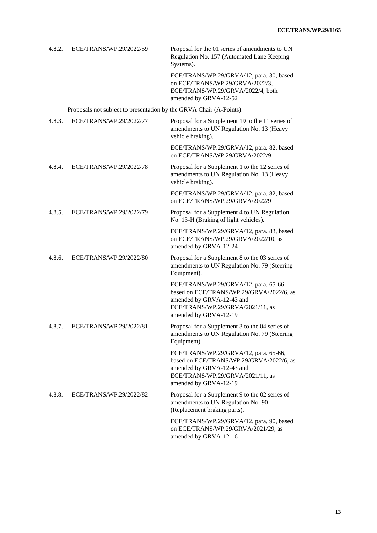| 4.8.2. | ECE/TRANS/WP.29/2022/59                                             | Proposal for the 01 series of amendments to UN<br>Regulation No. 157 (Automated Lane Keeping<br>Systems).                                                                   |
|--------|---------------------------------------------------------------------|-----------------------------------------------------------------------------------------------------------------------------------------------------------------------------|
|        |                                                                     | ECE/TRANS/WP.29/GRVA/12, para. 30, based<br>on ECE/TRANS/WP.29/GRVA/2022/3,<br>ECE/TRANS/WP.29/GRVA/2022/4, both<br>amended by GRVA-12-52                                   |
|        | Proposals not subject to presentation by the GRVA Chair (A-Points): |                                                                                                                                                                             |
| 4.8.3. | ECE/TRANS/WP.29/2022/77                                             | Proposal for a Supplement 19 to the 11 series of<br>amendments to UN Regulation No. 13 (Heavy<br>vehicle braking).                                                          |
|        |                                                                     | ECE/TRANS/WP.29/GRVA/12, para. 82, based<br>on ECE/TRANS/WP.29/GRVA/2022/9                                                                                                  |
| 4.8.4. | ECE/TRANS/WP.29/2022/78                                             | Proposal for a Supplement 1 to the 12 series of<br>amendments to UN Regulation No. 13 (Heavy<br>vehicle braking).                                                           |
|        |                                                                     | ECE/TRANS/WP.29/GRVA/12, para. 82, based<br>on ECE/TRANS/WP.29/GRVA/2022/9                                                                                                  |
| 4.8.5. | ECE/TRANS/WP.29/2022/79                                             | Proposal for a Supplement 4 to UN Regulation<br>No. 13-H (Braking of light vehicles).                                                                                       |
|        |                                                                     | ECE/TRANS/WP.29/GRVA/12, para. 83, based<br>on ECE/TRANS/WP.29/GRVA/2022/10, as<br>amended by GRVA-12-24                                                                    |
| 4.8.6. | ECE/TRANS/WP.29/2022/80                                             | Proposal for a Supplement 8 to the 03 series of<br>amendments to UN Regulation No. 79 (Steering<br>Equipment).                                                              |
|        |                                                                     | ECE/TRANS/WP.29/GRVA/12, para. 65-66,<br>based on ECE/TRANS/WP.29/GRVA/2022/6, as<br>amended by GRVA-12-43 and<br>ECE/TRANS/WP.29/GRVA/2021/11, as<br>amended by GRVA-12-19 |
| 4.8.7. | ECE/TRANS/WP.29/2022/81                                             | Proposal for a Supplement 3 to the 04 series of<br>amendments to UN Regulation No. 79 (Steering<br>Equipment).                                                              |
|        |                                                                     | ECE/TRANS/WP.29/GRVA/12, para. 65-66,<br>based on ECE/TRANS/WP.29/GRVA/2022/6, as<br>amended by GRVA-12-43 and<br>ECE/TRANS/WP.29/GRVA/2021/11, as<br>amended by GRVA-12-19 |
| 4.8.8. | ECE/TRANS/WP.29/2022/82                                             | Proposal for a Supplement 9 to the 02 series of<br>amendments to UN Regulation No. 90<br>(Replacement braking parts).                                                       |
|        |                                                                     | ECE/TRANS/WP.29/GRVA/12, para. 90, based<br>on ECE/TRANS/WP.29/GRVA/2021/29, as<br>amended by GRVA-12-16                                                                    |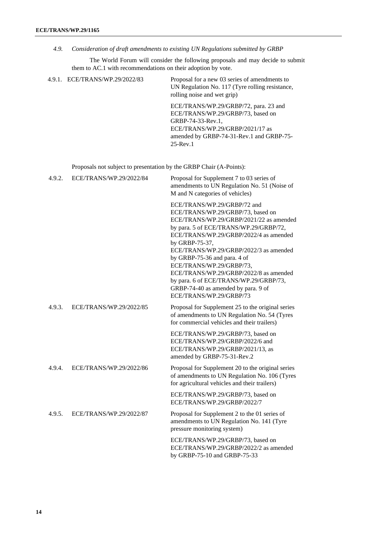*4.9. Consideration of draft amendments to existing UN Regulations submitted by GRBP*

The World Forum will consider the following proposals and may decide to submit them to AC.1 with recommendations on their adoption by vote.

|        | 4.9.1. ECE/TRANS/WP.29/2022/83                                      | Proposal for a new 03 series of amendments to<br>UN Regulation No. 117 (Tyre rolling resistance,<br>rolling noise and wet grip)                                                                                                                                                                                                                                                                                                                                               |
|--------|---------------------------------------------------------------------|-------------------------------------------------------------------------------------------------------------------------------------------------------------------------------------------------------------------------------------------------------------------------------------------------------------------------------------------------------------------------------------------------------------------------------------------------------------------------------|
|        |                                                                     | ECE/TRANS/WP.29/GRBP/72, para. 23 and<br>ECE/TRANS/WP.29/GRBP/73, based on<br>GRBP-74-33-Rev.1,<br>ECE/TRANS/WP.29/GRBP/2021/17 as<br>amended by GRBP-74-31-Rev.1 and GRBP-75-<br>$25$ -Rev.1                                                                                                                                                                                                                                                                                 |
|        | Proposals not subject to presentation by the GRBP Chair (A-Points): |                                                                                                                                                                                                                                                                                                                                                                                                                                                                               |
| 4.9.2. | ECE/TRANS/WP.29/2022/84                                             | Proposal for Supplement 7 to 03 series of<br>amendments to UN Regulation No. 51 (Noise of<br>M and N categories of vehicles)                                                                                                                                                                                                                                                                                                                                                  |
|        |                                                                     | ECE/TRANS/WP.29/GRBP/72 and<br>ECE/TRANS/WP.29/GRBP/73, based on<br>ECE/TRANS/WP.29/GRBP/2021/22 as amended<br>by para. 5 of ECE/TRANS/WP.29/GRBP/72,<br>ECE/TRANS/WP.29/GRBP/2022/4 as amended<br>by GRBP-75-37,<br>ECE/TRANS/WP.29/GRBP/2022/3 as amended<br>by GRBP-75-36 and para. 4 of<br>ECE/TRANS/WP.29/GRBP/73,<br>ECE/TRANS/WP.29/GRBP/2022/8 as amended<br>by para. 6 of ECE/TRANS/WP.29/GRBP/73,<br>GRBP-74-40 as amended by para. 9 of<br>ECE/TRANS/WP.29/GRBP/73 |
| 4.9.3. | ECE/TRANS/WP.29/2022/85                                             | Proposal for Supplement 25 to the original series<br>of amendments to UN Regulation No. 54 (Tyres<br>for commercial vehicles and their trailers)                                                                                                                                                                                                                                                                                                                              |
|        |                                                                     | ECE/TRANS/WP.29/GRBP/73, based on<br>ECE/TRANS/WP.29/GRBP/2022/6 and<br>ECE/TRANS/WP.29/GRBP/2021/13, as<br>amended by GRBP-75-31-Rev.2                                                                                                                                                                                                                                                                                                                                       |
| 4.9.4. | ECE/TRANS/WP.29/2022/86                                             | Proposal for Supplement 20 to the original series<br>of amendments to UN Regulation No. 106 (Tyres<br>for agricultural vehicles and their trailers)                                                                                                                                                                                                                                                                                                                           |
|        |                                                                     | ECE/TRANS/WP.29/GRBP/73, based on<br>ECE/TRANS/WP.29/GRBP/2022/7                                                                                                                                                                                                                                                                                                                                                                                                              |
| 4.9.5. | ECE/TRANS/WP.29/2022/87                                             | Proposal for Supplement 2 to the 01 series of<br>amendments to UN Regulation No. 141 (Tyre<br>pressure monitoring system)                                                                                                                                                                                                                                                                                                                                                     |

ECE/TRANS/WP.29/GRBP/73, based on ECE/TRANS/WP.29/GRBP/2022/2 as amended by GRBP-75-10 and GRBP-75-33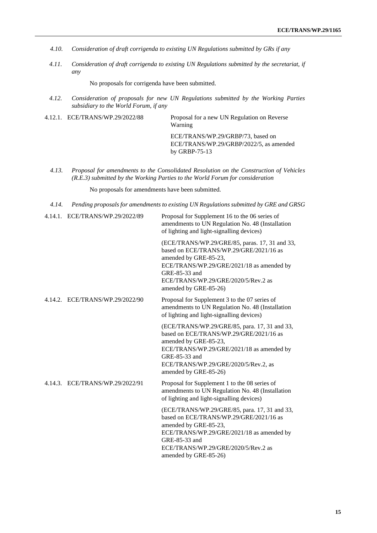- *4.10. Consideration of draft corrigenda to existing UN Regulations submitted by GRs if any*
- *4.11. Consideration of draft corrigenda to existing UN Regulations submitted by the secretariat, if any*

No proposals for corrigenda have been submitted.

- *4.12. Consideration of proposals for new UN Regulations submitted by the Working Parties subsidiary to the World Forum, if any*
- 4.12.1. ECE/TRANS/WP.29/2022/88 Proposal for a new UN Regulation on Reverse Warning ECE/TRANS/WP.29/GRBP/73, based on ECE/TRANS/WP.29/GRBP/2022/5, as amended by GRBP-75-13
	- *4.13. Proposal for amendments to the Consolidated Resolution on the Construction of Vehicles (R.E.3) submitted by the Working Parties to the World Forum for consideration*

No proposals for amendments have been submitted.

*4.14. Pending proposals for amendments to existing UN Regulations submitted by GRE and GRSG*

| 4.14.1. ECE/TRANS/WP.29/2022/89 | Proposal for Supplement 16 to the 06 series of<br>amendments to UN Regulation No. 48 (Installation<br>of lighting and light-signalling devices)                                                                                                  |
|---------------------------------|--------------------------------------------------------------------------------------------------------------------------------------------------------------------------------------------------------------------------------------------------|
|                                 | (ECE/TRANS/WP.29/GRE/85, paras. 17, 31 and 33,<br>based on ECE/TRANS/WP.29/GRE/2021/16 as<br>amended by GRE-85-23,<br>ECE/TRANS/WP.29/GRE/2021/18 as amended by<br>GRE-85-33 and<br>ECE/TRANS/WP.29/GRE/2020/5/Rev.2 as<br>amended by GRE-85-26) |
| 4.14.2. ECE/TRANS/WP.29/2022/90 | Proposal for Supplement 3 to the 07 series of<br>amendments to UN Regulation No. 48 (Installation<br>of lighting and light-signalling devices)                                                                                                   |
|                                 | (ECE/TRANS/WP.29/GRE/85, para. 17, 31 and 33,<br>based on ECE/TRANS/WP.29/GRE/2021/16 as<br>amended by GRE-85-23,<br>ECE/TRANS/WP.29/GRE/2021/18 as amended by<br>GRE-85-33 and<br>ECE/TRANS/WP.29/GRE/2020/5/Rev.2, as<br>amended by GRE-85-26) |
| 4.14.3. ECE/TRANS/WP.29/2022/91 | Proposal for Supplement 1 to the 08 series of<br>amendments to UN Regulation No. 48 (Installation<br>of lighting and light-signalling devices)                                                                                                   |
|                                 | (ECE/TRANS/WP.29/GRE/85, para. 17, 31 and 33,<br>based on ECE/TRANS/WP.29/GRE/2021/16 as<br>amended by GRE-85-23,<br>ECE/TRANS/WP.29/GRE/2021/18 as amended by<br>GRE-85-33 and<br>ECE/TRANS/WP.29/GRE/2020/5/Rev.2 as<br>amended by GRE-85-26)  |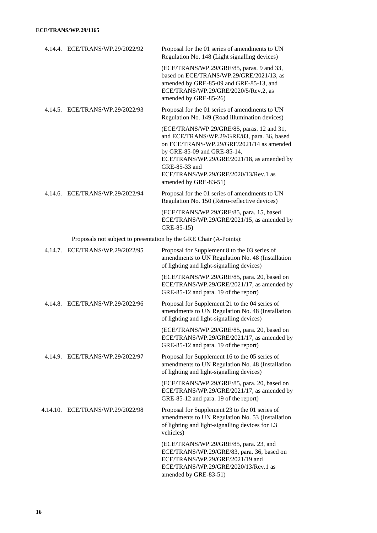| 4.14.4. ECE/TRANS/WP.29/2022/92                                    | Proposal for the 01 series of amendments to UN<br>Regulation No. 148 (Light signalling devices)                                                                                                                                                                                                       |
|--------------------------------------------------------------------|-------------------------------------------------------------------------------------------------------------------------------------------------------------------------------------------------------------------------------------------------------------------------------------------------------|
|                                                                    | (ECE/TRANS/WP.29/GRE/85, paras. 9 and 33,<br>based on ECE/TRANS/WP.29/GRE/2021/13, as<br>amended by GRE-85-09 and GRE-85-13, and<br>ECE/TRANS/WP.29/GRE/2020/5/Rev.2, as<br>amended by GRE-85-26)                                                                                                     |
| 4.14.5. ECE/TRANS/WP.29/2022/93                                    | Proposal for the 01 series of amendments to UN<br>Regulation No. 149 (Road illumination devices)                                                                                                                                                                                                      |
|                                                                    | (ECE/TRANS/WP.29/GRE/85, paras. 12 and 31,<br>and ECE/TRANS/WP.29/GRE/83, para. 36, based<br>on ECE/TRANS/WP.29/GRE/2021/14 as amended<br>by GRE-85-09 and GRE-85-14,<br>ECE/TRANS/WP.29/GRE/2021/18, as amended by<br>GRE-85-33 and<br>ECE/TRANS/WP.29/GRE/2020/13/Rev.1 as<br>amended by GRE-83-51) |
| 4.14.6. ECE/TRANS/WP.29/2022/94                                    | Proposal for the 01 series of amendments to UN<br>Regulation No. 150 (Retro-reflective devices)                                                                                                                                                                                                       |
|                                                                    | (ECE/TRANS/WP.29/GRE/85, para. 15, based<br>ECE/TRANS/WP.29/GRE/2021/15, as amended by<br>GRE-85-15)                                                                                                                                                                                                  |
| Proposals not subject to presentation by the GRE Chair (A-Points): |                                                                                                                                                                                                                                                                                                       |
| 4.14.7. ECE/TRANS/WP.29/2022/95                                    | Proposal for Supplement 8 to the 03 series of<br>amendments to UN Regulation No. 48 (Installation<br>of lighting and light-signalling devices)                                                                                                                                                        |
|                                                                    | (ECE/TRANS/WP.29/GRE/85, para. 20, based on<br>ECE/TRANS/WP.29/GRE/2021/17, as amended by<br>GRE-85-12 and para. 19 of the report)                                                                                                                                                                    |
| 4.14.8. ECE/TRANS/WP.29/2022/96                                    | Proposal for Supplement 21 to the 04 series of<br>amendments to UN Regulation No. 48 (Installation<br>of lighting and light-signalling devices)                                                                                                                                                       |
|                                                                    | (ECE/TRANS/WP.29/GRE/85, para. 20, based on<br>ECE/TRANS/WP.29/GRE/2021/17, as amended by<br>GRE-85-12 and para. 19 of the report)                                                                                                                                                                    |
| 4.14.9. ECE/TRANS/WP.29/2022/97                                    | Proposal for Supplement 16 to the 05 series of<br>amendments to UN Regulation No. 48 (Installation<br>of lighting and light-signalling devices)                                                                                                                                                       |
|                                                                    | (ECE/TRANS/WP.29/GRE/85, para. 20, based on<br>ECE/TRANS/WP.29/GRE/2021/17, as amended by<br>GRE-85-12 and para. 19 of the report)                                                                                                                                                                    |
| 4.14.10. ECE/TRANS/WP.29/2022/98                                   | Proposal for Supplement 23 to the 01 series of<br>amendments to UN Regulation No. 53 (Installation<br>of lighting and light-signalling devices for L3<br>vehicles)                                                                                                                                    |
|                                                                    | (ECE/TRANS/WP.29/GRE/85, para. 23, and<br>ECE/TRANS/WP.29/GRE/83, para. 36, based on<br>ECE/TRANS/WP.29/GRE/2021/19 and<br>ECE/TRANS/WP.29/GRE/2020/13/Rev.1 as<br>amended by GRE-83-51)                                                                                                              |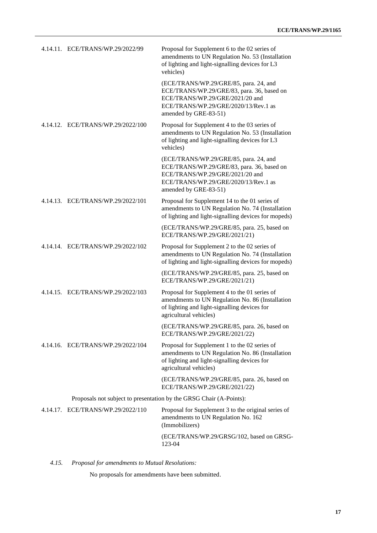| 4.14.11. ECE/TRANS/WP.29/2022/99  | Proposal for Supplement 6 to the 02 series of<br>amendments to UN Regulation No. 53 (Installation<br>of lighting and light-signalling devices for L3<br>vehicles)                        |
|-----------------------------------|------------------------------------------------------------------------------------------------------------------------------------------------------------------------------------------|
|                                   | (ECE/TRANS/WP.29/GRE/85, para. 24, and<br>ECE/TRANS/WP.29/GRE/83, para. 36, based on<br>ECE/TRANS/WP.29/GRE/2021/20 and<br>ECE/TRANS/WP.29/GRE/2020/13/Rev.1 as<br>amended by GRE-83-51) |
| 4.14.12. ECE/TRANS/WP.29/2022/100 | Proposal for Supplement 4 to the 03 series of<br>amendments to UN Regulation No. 53 (Installation<br>of lighting and light-signalling devices for L3<br>vehicles)                        |
|                                   | (ECE/TRANS/WP.29/GRE/85, para. 24, and<br>ECE/TRANS/WP.29/GRE/83, para. 36, based on<br>ECE/TRANS/WP.29/GRE/2021/20 and<br>ECE/TRANS/WP.29/GRE/2020/13/Rev.1 as<br>amended by GRE-83-51) |
| 4.14.13. ECE/TRANS/WP.29/2022/101 | Proposal for Supplement 14 to the 01 series of<br>amendments to UN Regulation No. 74 (Installation<br>of lighting and light-signalling devices for mopeds)                               |
|                                   | (ECE/TRANS/WP.29/GRE/85, para. 25, based on<br>ECE/TRANS/WP.29/GRE/2021/21)                                                                                                              |
| 4.14.14. ECE/TRANS/WP.29/2022/102 | Proposal for Supplement 2 to the 02 series of<br>amendments to UN Regulation No. 74 (Installation<br>of lighting and light-signalling devices for mopeds)                                |
|                                   | (ECE/TRANS/WP.29/GRE/85, para. 25, based on<br>ECE/TRANS/WP.29/GRE/2021/21)                                                                                                              |
| 4.14.15. ECE/TRANS/WP.29/2022/103 | Proposal for Supplement 4 to the 01 series of<br>amendments to UN Regulation No. 86 (Installation<br>of lighting and light-signalling devices for<br>agricultural vehicles)              |
|                                   | (ECE/TRANS/WP.29/GRE/85, para. 26, based on<br>ECE/TRANS/WP.29/GRE/2021/22)                                                                                                              |
| 4.14.16. ECE/TRANS/WP.29/2022/104 | Proposal for Supplement 1 to the 02 series of<br>amendments to UN Regulation No. 86 (Installation<br>of lighting and light-signalling devices for<br>agricultural vehicles)              |
|                                   | (ECE/TRANS/WP.29/GRE/85, para. 26, based on<br>ECE/TRANS/WP.29/GRE/2021/22)                                                                                                              |
|                                   | Proposals not subject to presentation by the GRSG Chair (A-Points):                                                                                                                      |
| 4.14.17. ECE/TRANS/WP.29/2022/110 | Proposal for Supplement 3 to the original series of<br>amendments to UN Regulation No. 162<br>(Immobilizers)                                                                             |
|                                   | (ECE/TRANS/WP.29/GRSG/102, based on GRSG-<br>123-04                                                                                                                                      |

*4.15. Proposal for amendments to Mutual Resolutions:*

No proposals for amendments have been submitted.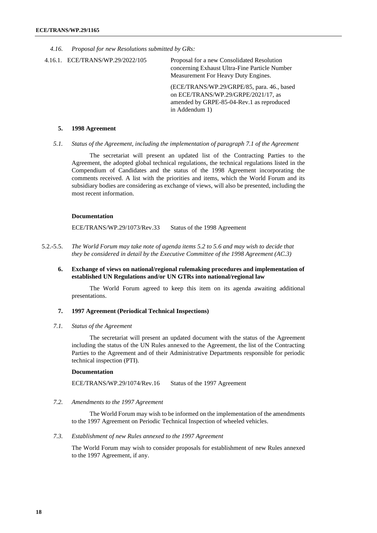*4.16. Proposal for new Resolutions submitted by GRs:*

4.16.1. ECE/TRANS/WP.29/2022/105 Proposal for a new Consolidated Resolution concerning Exhaust Ultra-Fine Particle Number Measurement For Heavy Duty Engines.

> (ECE/TRANS/WP.29/GRPE/85, para. 46., based on ECE/TRANS/WP.29/GRPE/2021/17, as amended by GRPE-85-04-Rev.1 as reproduced in Addendum 1)

#### **5. 1998 Agreement**

*5.1. Status of the Agreement, including the implementation of paragraph 7.1 of the Agreement*

The secretariat will present an updated list of the Contracting Parties to the Agreement, the adopted global technical regulations, the technical regulations listed in the Compendium of Candidates and the status of the 1998 Agreement incorporating the comments received. A list with the priorities and items, which the World Forum and its subsidiary bodies are considering as exchange of views, will also be presented, including the most recent information.

#### **Documentation**

ECE/TRANS/WP.29/1073/Rev.33 Status of the 1998 Agreement

- 5.2.-5.5. *The World Forum may take note of agenda items 5.2 to 5.6 and may wish to decide that they be considered in detail by the Executive Committee of the 1998 Agreement (AC.3)*
	- **6. Exchange of views on national/regional rulemaking procedures and implementation of established UN Regulations and/or UN GTRs into national/regional law**

The World Forum agreed to keep this item on its agenda awaiting additional presentations.

#### **7. 1997 Agreement (Periodical Technical Inspections)**

*7.1. Status of the Agreement*

The secretariat will present an updated document with the status of the Agreement including the status of the UN Rules annexed to the Agreement, the list of the Contracting Parties to the Agreement and of their Administrative Departments responsible for periodic technical inspection (PTI).

#### **Documentation**

ECE/TRANS/WP.29/1074/Rev.16 Status of the 1997 Agreement

*7.2. Amendments to the 1997 Agreement*

The World Forum may wish to be informed on the implementation of the amendments to the 1997 Agreement on Periodic Technical Inspection of wheeled vehicles.

#### *7.3. Establishment of new Rules annexed to the 1997 Agreement*

The World Forum may wish to consider proposals for establishment of new Rules annexed to the 1997 Agreement, if any.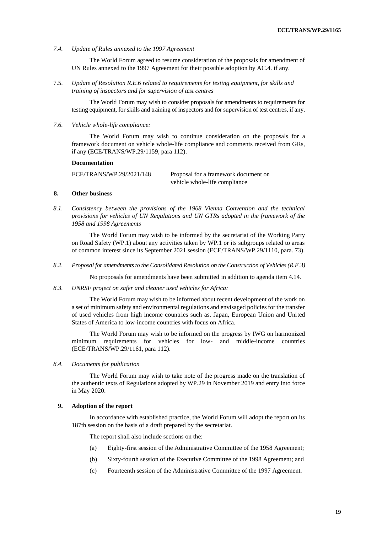*7.4. Update of Rules annexed to the 1997 Agreement*

The World Forum agreed to resume consideration of the proposals for amendment of UN Rules annexed to the 1997 Agreement for their possible adoption by AC.4. if any.

7.5. *Update of Resolution R.E.6 related to requirements for testing equipment, for skills and training of inspectors and for supervision of test centres*

The World Forum may wish to consider proposals for amendments to requirements for testing equipment, for skills and training of inspectors and for supervision of test centres, if any.

*7.6. Vehicle whole-life compliance:*

The World Forum may wish to continue consideration on the proposals for a framework document on vehicle whole-life compliance and comments received from GRs, if any (ECE/TRANS/WP.29/1159, para 112).

#### **Documentation**

ECE/TRANS/WP.29/2021/148 Proposal for a framework document on vehicle whole-life compliance

#### **8. Other business**

*8.1. Consistency between the provisions of the 1968 Vienna Convention and the technical provisions for vehicles of UN Regulations and UN GTRs adopted in the framework of the 1958 and 1998 Agreements*

The World Forum may wish to be informed by the secretariat of the Working Party on Road Safety (WP.1) about any activities taken by WP.1 or its subgroups related to areas of common interest since its September 2021 session (ECE/TRANS/WP.29/1110, para. 73).

*8.2. Proposal for amendments to the Consolidated Resolution on the Construction of Vehicles (R.E.3)*

No proposals for amendments have been submitted in addition to agenda item 4.14.

*8.3. UNRSF project on safer and cleaner used vehicles for Africa:*

The World Forum may wish to be informed about recent development of the work on a set of minimum safety and environmental regulations and envisaged policies for the transfer of used vehicles from high income countries such as. Japan, European Union and United States of America to low-income countries with focus on Africa.

The World Forum may wish to be informed on the progress by IWG on harmonized minimum requirements for vehicles for low- and middle-income countries (ECE/TRANS/WP.29/1161, para 112).

#### *8.4. Documents for publication*

The World Forum may wish to take note of the progress made on the translation of the authentic texts of Regulations adopted by WP.29 in November 2019 and entry into force in May 2020.

#### **9. Adoption of the report**

In accordance with established practice, the World Forum will adopt the report on its 187th session on the basis of a draft prepared by the secretariat.

The report shall also include sections on the:

- (a) Eighty-first session of the Administrative Committee of the 1958 Agreement;
- (b) Sixty-fourth session of the Executive Committee of the 1998 Agreement; and
- (c) Fourteenth session of the Administrative Committee of the 1997 Agreement.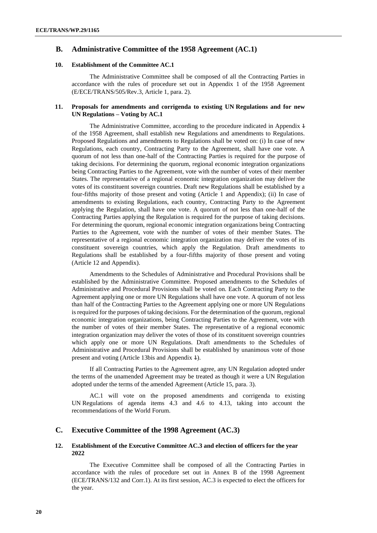## **B. Administrative Committee of the 1958 Agreement (AC.1)**

## **10. Establishment of the Committee AC.1**

The Administrative Committee shall be composed of all the Contracting Parties in accordance with the rules of procedure set out in Appendix 1 of the 1958 Agreement (E/ECE/TRANS/505/Rev.3, Article 1, para. 2).

## **11. Proposals for amendments and corrigenda to existing UN Regulations and for new UN Regulations – Voting by AC.1**

The Administrative Committee, according to the procedure indicated in Appendix 4 of the 1958 Agreement, shall establish new Regulations and amendments to Regulations. Proposed Regulations and amendments to Regulations shall be voted on: (i) In case of new Regulations, each country, Contracting Party to the Agreement, shall have one vote. A quorum of not less than one-half of the Contracting Parties is required for the purpose of taking decisions. For determining the quorum, regional economic integration organizations being Contracting Parties to the Agreement, vote with the number of votes of their member States. The representative of a regional economic integration organization may deliver the votes of its constituent sovereign countries. Draft new Regulations shall be established by a four-fifths majority of those present and voting (Article 1 and Appendix); (ii) In case of amendments to existing Regulations, each country, Contracting Party to the Agreement applying the Regulation, shall have one vote. A quorum of not less than one-half of the Contracting Parties applying the Regulation is required for the purpose of taking decisions. For determining the quorum, regional economic integration organizations being Contracting Parties to the Agreement, vote with the number of votes of their member States. The representative of a regional economic integration organization may deliver the votes of its constituent sovereign countries, which apply the Regulation. Draft amendments to Regulations shall be established by a four-fifths majority of those present and voting (Article 12 and Appendix).

Amendments to the Schedules of Administrative and Procedural Provisions shall be established by the Administrative Committee. Proposed amendments to the Schedules of Administrative and Procedural Provisions shall be voted on. Each Contracting Party to the Agreement applying one or more UN Regulations shall have one vote. A quorum of not less than half of the Contracting Parties to the Agreement applying one or more UN Regulations is required for the purposes of taking decisions. For the determination of the quorum, regional economic integration organizations, being Contracting Parties to the Agreement, vote with the number of votes of their member States. The representative of a regional economic integration organization may deliver the votes of those of its constituent sovereign countries which apply one or more UN Regulations. Draft amendments to the Schedules of Administrative and Procedural Provisions shall be established by unanimous vote of those present and voting (Article 13bis and Appendix 1).

If all Contracting Parties to the Agreement agree, any UN Regulation adopted under the terms of the unamended Agreement may be treated as though it were a UN Regulation adopted under the terms of the amended Agreement (Article 15, para. 3).

AC.1 will vote on the proposed amendments and corrigenda to existing UN Regulations of agenda items 4.3 and 4.6 to 4.13, taking into account the recommendations of the World Forum.

## **C. Executive Committee of the 1998 Agreement (AC.3)**

## **12. Establishment of the Executive Committee AC.3 and election of officers for the year 2022**

The Executive Committee shall be composed of all the Contracting Parties in accordance with the rules of procedure set out in Annex B of the 1998 Agreement (ECE/TRANS/132 and Corr.1). At its first session, AC.3 is expected to elect the officers for the year.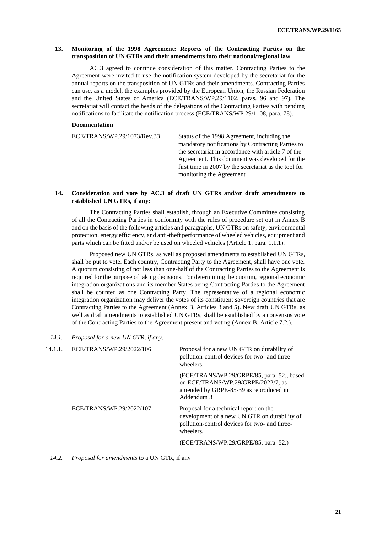#### **13. Monitoring of the 1998 Agreement: Reports of the Contracting Parties on the transposition of UN GTRs and their amendments into their national/regional law**

AC.3 agreed to continue consideration of this matter. Contracting Parties to the Agreement were invited to use the notification system developed by the secretariat for the annual reports on the transposition of UN GTRs and their amendments. Contracting Parties can use, as a model, the examples provided by the European Union, the Russian Federation and the United States of America (ECE/TRANS/WP.29/1102, paras. 96 and 97). The secretariat will contact the heads of the delegations of the Contracting Parties with pending notifications to facilitate the notification process (ECE/TRANS/WP.29/1108, para. 78).

#### **Documentation**

ECE/TRANS/WP.29/1073/Rev.33 Status of the 1998 Agreement, including the mandatory notifications by Contracting Parties to the secretariat in accordance with article 7 of the Agreement. This document was developed for the first time in 2007 by the secretariat as the tool for monitoring the Agreement

### **14. Consideration and vote by AC.3 of draft UN GTRs and/or draft amendments to established UN GTRs, if any:**

The Contracting Parties shall establish, through an Executive Committee consisting of all the Contracting Parties in conformity with the rules of procedure set out in Annex B and on the basis of the following articles and paragraphs, UN GTRs on safety, environmental protection, energy efficiency, and anti-theft performance of wheeled vehicles, equipment and parts which can be fitted and/or be used on wheeled vehicles (Article 1, para. 1.1.1).

Proposed new UN GTRs, as well as proposed amendments to established UN GTRs, shall be put to vote. Each country, Contracting Party to the Agreement, shall have one vote. A quorum consisting of not less than one-half of the Contracting Parties to the Agreement is required for the purpose of taking decisions. For determining the quorum, regional economic integration organizations and its member States being Contracting Parties to the Agreement shall be counted as one Contracting Party. The representative of a regional economic integration organization may deliver the votes of its constituent sovereign countries that are Contracting Parties to the Agreement (Annex B, Articles 3 and 5). New draft UN GTRs, as well as draft amendments to established UN GTRs, shall be established by a consensus vote of the Contracting Parties to the Agreement present and voting (Annex B, Article 7.2.).

#### *14.1. Proposal for a new UN GTR, if any:*

| 14.1.1. | ECE/TRANS/WP.29/2022/106 | Proposal for a new UN GTR on durability of<br>pollution-control devices for two- and three-<br>wheelers.                                             |
|---------|--------------------------|------------------------------------------------------------------------------------------------------------------------------------------------------|
|         |                          | (ECE/TRANS/WP.29/GRPE/85, para. 52., based<br>on ECE/TRANS/WP.29/GRPE/2022/7, as<br>amended by GRPE-85-39 as reproduced in<br>Addendum 3             |
|         | ECE/TRANS/WP.29/2022/107 | Proposal for a technical report on the<br>development of a new UN GTR on durability of<br>pollution-control devices for two- and three-<br>wheelers. |
|         |                          | (ECE/TRANS/WP.29/GRPE/85, para. 52.)                                                                                                                 |
|         |                          |                                                                                                                                                      |

#### *14.2. Proposal for amendments* to a UN GTR, if any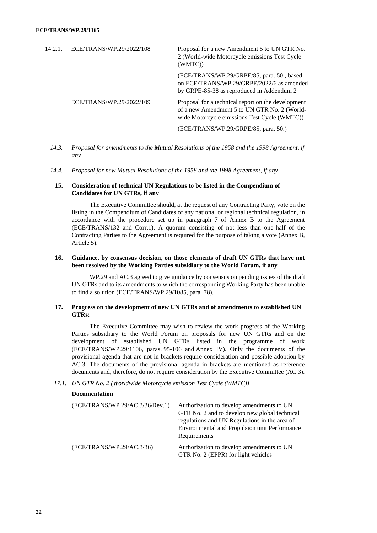| 14.2.1. | ECE/TRANS/WP.29/2022/108 | Proposal for a new Amendment 5 to UN GTR No.<br>2 (World-wide Motorcycle emissions Test Cycle<br>(WMTC))                                           |
|---------|--------------------------|----------------------------------------------------------------------------------------------------------------------------------------------------|
|         |                          | (ECE/TRANS/WP.29/GRPE/85, para. 50., based<br>on ECE/TRANS/WP.29/GRPE/2022/6 as amended<br>by GRPE-85-38 as reproduced in Addendum 2               |
|         | ECE/TRANS/WP.29/2022/109 | Proposal for a technical report on the development<br>of a new Amendment 5 to UN GTR No. 2 (World-<br>wide Motorcycle emissions Test Cycle (WMTC)) |
|         |                          | (ECE/TRANS/WP.29/GRPE/85, para. 50.)                                                                                                               |

- *14.3. Proposal for amendments to the Mutual Resolutions of the 1958 and the 1998 Agreement, if any*
- *14.4. Proposal for new Mutual Resolutions of the 1958 and the 1998 Agreement, if any*

## **15. Consideration of technical UN Regulations to be listed in the Compendium of Candidates for UN GTRs, if any**

The Executive Committee should, at the request of any Contracting Party, vote on the listing in the Compendium of Candidates of any national or regional technical regulation, in accordance with the procedure set up in paragraph 7 of Annex B to the Agreement (ECE/TRANS/132 and Corr.1). A quorum consisting of not less than one-half of the Contracting Parties to the Agreement is required for the purpose of taking a vote (Annex B, Article 5).

#### **16. Guidance, by consensus decision, on those elements of draft UN GTRs that have not been resolved by the Working Parties subsidiary to the World Forum, if any**

WP.29 and AC.3 agreed to give guidance by consensus on pending issues of the draft UN GTRs and to its amendments to which the corresponding Working Party has been unable to find a solution (ECE/TRANS/WP.29/1085, para. 78).

## **17. Progress on the development of new UN GTRs and of amendments to established UN GTRs:**

The Executive Committee may wish to review the work progress of the Working Parties subsidiary to the World Forum on proposals for new UN GTRs and on the development of established UN GTRs listed in the programme of work (ECE/TRANS/WP.29/1106, paras. 95-106 and Annex IV). Only the documents of the provisional agenda that are not in brackets require consideration and possible adoption by AC.3. The documents of the provisional agenda in brackets are mentioned as reference documents and, therefore, do not require consideration by the Executive Committee (AC.3).

#### *17.1. UN GTR No. 2 (Worldwide Motorcycle emission Test Cycle (WMTC))*

#### **Documentation**

| (ECE/TRANS/WP.29/AC.3/36/Rev.1) | Authorization to develop amendments to UN<br>GTR No. 2 and to develop new global technical<br>regulations and UN Regulations in the area of<br>Environmental and Propulsion unit Performance<br>Requirements |
|---------------------------------|--------------------------------------------------------------------------------------------------------------------------------------------------------------------------------------------------------------|
| (ECE/TRANS/WP.29/AC.3/36)       | Authorization to develop amendments to UN<br>GTR No. 2 (EPPR) for light vehicles                                                                                                                             |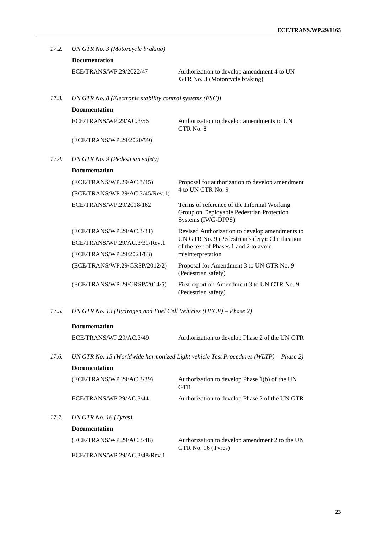| 17.2.                     | UN GTR No. 3 (Motorcycle braking)                         |                                                                                                               |  |  |
|---------------------------|-----------------------------------------------------------|---------------------------------------------------------------------------------------------------------------|--|--|
|                           | <b>Documentation</b>                                      |                                                                                                               |  |  |
|                           | ECE/TRANS/WP.29/2022/47                                   | Authorization to develop amendment 4 to UN<br>GTR No. 3 (Motorcycle braking)                                  |  |  |
| 17.3.                     | UN GTR No. 8 (Electronic stability control systems (ESC)) |                                                                                                               |  |  |
|                           | <b>Documentation</b>                                      |                                                                                                               |  |  |
|                           | ECE/TRANS/WP.29/AC.3/56                                   | Authorization to develop amendments to UN<br>GTR No. 8                                                        |  |  |
|                           | (ECE/TRANS/WP.29/2020/99)                                 |                                                                                                               |  |  |
| 17.4.                     | UN GTR No. 9 (Pedestrian safety)                          |                                                                                                               |  |  |
|                           | <b>Documentation</b>                                      |                                                                                                               |  |  |
| (ECE/TRANS/WP.29/AC.3/45) | Proposal for authorization to develop amendment           |                                                                                                               |  |  |
|                           | (ECE/TRANS/WP.29/AC.3/45/Rev.1)                           | 4 to UN GTR No. 9                                                                                             |  |  |
|                           | ECE/TRANS/WP.29/2018/162                                  | Terms of reference of the Informal Working<br>Group on Deployable Pedestrian Protection<br>Systems (IWG-DPPS) |  |  |
|                           | (ECE/TRANS/WP.29/AC.3/31)                                 | Revised Authorization to develop amendments to                                                                |  |  |
|                           | ECE/TRANS/WP.29/AC.3/31/Rev.1                             | UN GTR No. 9 (Pedestrian safety): Clarification<br>of the text of Phases 1 and 2 to avoid                     |  |  |
|                           | (ECE/TRANS/WP.29/2021/83)                                 | misinterpretation                                                                                             |  |  |
|                           | (ECE/TRANS/WP.29/GRSP/2012/2)                             | Proposal for Amendment 3 to UN GTR No. 9<br>(Pedestrian safety)                                               |  |  |
|                           | (ECE/TRANS/WP.29/GRSP/2014/5)                             | First report on Amendment 3 to UN GTR No. 9<br>(Pedestrian safety)                                            |  |  |

*17.5. UN GTR No. 13 (Hydrogen and Fuel Cell Vehicles (HFCV) – Phase 2)*

|       | <b>Documentation</b>      |                                                                                     |
|-------|---------------------------|-------------------------------------------------------------------------------------|
|       | ECE/TRANS/WP.29/AC.3/49   | Authorization to develop Phase 2 of the UN GTR                                      |
| 17.6. |                           | UN GTR No. 15 (Worldwide harmonized Light vehicle Test Procedures (WLTP) – Phase 2) |
|       | <b>Documentation</b>      |                                                                                     |
|       | (ECE/TRANS/WP.29/AC.3/39) | Authorization to develop Phase 1(b) of the UN<br><b>GTR</b>                         |
|       | ECE/TRANS/WP.29/AC.3/44   | Authorization to develop Phase 2 of the UN GTR                                      |
| 17.7. | UN GTR No. 16 $(Tvres)$   |                                                                                     |
|       | <b>Documentation</b>      |                                                                                     |
|       | (ECE/TRANS/WP.29/AC.3/48) | Authorization to develop amendment 2 to the UN<br>GTR No. 16 (Tyres)                |

ECE/TRANS/WP.29/AC.3/48/Rev.1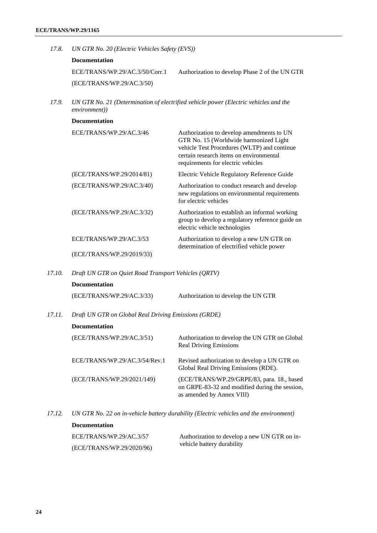- *17.8. UN GTR No. 20 (Electric Vehicles Safety (EVS))* **Documentation** ECE/TRANS/WP.29/AC.3/50/Corr.1 (ECE/TRANS/WP.29/AC.3/50) Authorization to develop Phase 2 of the UN GTR
- *17.9. UN GTR No. 21 (Determination of electrified vehicle power (Electric vehicles and the environment))*

| <b>Documentation</b>      |                                                                                                                                                                                                                     |
|---------------------------|---------------------------------------------------------------------------------------------------------------------------------------------------------------------------------------------------------------------|
| ECE/TRANS/WP.29/AC.3/46   | Authorization to develop amendments to UN<br>GTR No. 15 (Worldwide harmonized Light<br>vehicle Test Procedures (WLTP) and continue<br>certain research items on environmental<br>requirements for electric vehicles |
| (ECE/TRANS/WP.29/2014/81) | Electric Vehicle Regulatory Reference Guide                                                                                                                                                                         |
| (ECE/TRANS/WP.29/AC.3/40) | Authorization to conduct research and develop<br>new regulations on environmental requirements<br>for electric vehicles                                                                                             |
| (ECE/TRANS/WP.29/AC.3/32) | Authorization to establish an informal working<br>group to develop a regulatory reference guide on<br>electric vehicle technologies                                                                                 |
| ECE/TRANS/WP.29/AC.3/53   | Authorization to develop a new UN GTR on<br>determination of electrified vehicle power                                                                                                                              |
| (ECE/TRANS/WP.29/2019/33) |                                                                                                                                                                                                                     |

*17.10. Draft UN GTR on Quiet Road Transport Vehicles (QRTV)*

| <b>Documentation</b> |  |
|----------------------|--|
|                      |  |

| (ECE/TRANS/WP.29/AC.3/33)<br>Authorization to develop the UN GTR |
|------------------------------------------------------------------|
|------------------------------------------------------------------|

*17.11. Draft UN GTR on Global Real Driving Emissions (GRDE)*

| <b>Documentation</b>          |                                                                                                                           |
|-------------------------------|---------------------------------------------------------------------------------------------------------------------------|
| (ECE/TRANS/WP.29/AC.3/51)     | Authorization to develop the UN GTR on Global<br><b>Real Driving Emissions</b>                                            |
| ECE/TRANS/WP.29/AC.3/54/Rev.1 | Revised authorization to develop a UN GTR on<br>Global Real Driving Emissions (RDE).                                      |
| (ECE/TRANS/WP.29/2021/149)    | (ECE/TRANS/WP.29/GRPE/83, para. 18., based<br>on GRPE-83-32 and modified during the session,<br>as amended by Annex VIII) |

*17.12. UN GTR No. 22 on in-vehicle battery durability (Electric vehicles and the environment)* **Documentation** ECE/TRANS/WP.29/AC.3/57 Authorization to develop a new UN GTR on in-

vehicle battery durability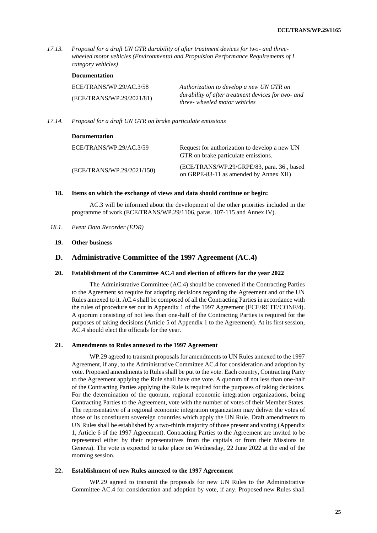*17.13. Proposal for a draft UN GTR durability of after treatment devices for two- and threewheeled motor vehicles (Environmental and Propulsion Performance Requirements of L category vehicles)*

|                                                      | <b>Documentation</b>                                                                                                            |        |
|------------------------------------------------------|---------------------------------------------------------------------------------------------------------------------------------|--------|
| ECE/TRANS/WP.29/AC.3/58<br>(ECE/TRANS/WP.29/2021/81) | Authorization to develop a new UN GTR on<br>durability of after treatment devices for two- and<br>three- wheeled motor vehicles |        |
|                                                      |                                                                                                                                 | 17.14. |

**Documentation** ECE/TRANS/WP.29/AC.3/59 (ECE/TRANS/WP.29/2021/150) Request for authorization to develop a new UN GTR on brake particulate emissions. (ECE/TRANS/WP.29/GRPE/83, para. 36., based on GRPE-83-11 as amended by Annex XII)

#### **18. Items on which the exchange of views and data should continue or begin:**

AC.3 will be informed about the development of the other priorities included in the programme of work (ECE/TRANS/WP.29/1106, paras. 107-115 and Annex IV).

- *18.1. Event Data Recorder (EDR)*
	- **19. Other business**

## **D. Administrative Committee of the 1997 Agreement (AC.4)**

#### **20. Establishment of the Committee AC.4 and election of officers for the year 2022**

The Administrative Committee (AC.4) should be convened if the Contracting Parties to the Agreement so require for adopting decisions regarding the Agreement and or the UN Rules annexed to it. AC.4 shall be composed of all the Contracting Parties in accordance with the rules of procedure set out in Appendix 1 of the 1997 Agreement (ECE/RCTE/CONF/4). A quorum consisting of not less than one-half of the Contracting Parties is required for the purposes of taking decisions (Article 5 of Appendix 1 to the Agreement). At its first session, AC.4 should elect the officials for the year.

## **21. Amendments to Rules annexed to the 1997 Agreement**

WP.29 agreed to transmit proposals for amendments to UN Rules annexed to the 1997 Agreement, if any, to the Administrative Committee AC.4 for consideration and adoption by vote. Proposed amendments to Rules shall be put to the vote. Each country, Contracting Party to the Agreement applying the Rule shall have one vote. A quorum of not less than one-half of the Contracting Parties applying the Rule is required for the purposes of taking decisions. For the determination of the quorum, regional economic integration organizations, being Contracting Parties to the Agreement, vote with the number of votes of their Member States. The representative of a regional economic integration organization may deliver the votes of those of its constituent sovereign countries which apply the UN Rule. Draft amendments to UN Rules shall be established by a two-thirds majority of those present and voting (Appendix 1, Article 6 of the 1997 Agreement). Contracting Parties to the Agreement are invited to be represented either by their representatives from the capitals or from their Missions in Geneva). The vote is expected to take place on Wednesday, 22 June 2022 at the end of the morning session.

#### **22. Establishment of new Rules annexed to the 1997 Agreement**

WP.29 agreed to transmit the proposals for new UN Rules to the Administrative Committee AC.4 for consideration and adoption by vote, if any. Proposed new Rules shall